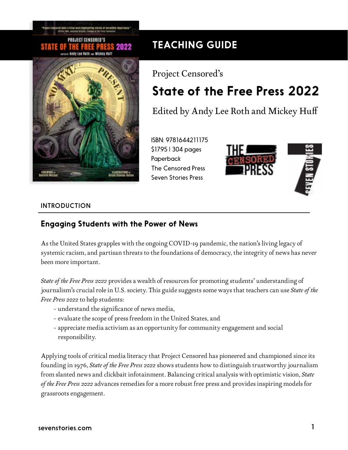#### PROJECT CENSORED'S 2022 Andy Lee Both ... Wickey Huff



# TEACHING GUIDE

# Project Censored's State of the Free Press 2022

Edited by Andy Lee Roth and Mickey Huff

ISBN: 9781644211175 \$17.95 | 304 pages Paperback The Censored Press Seven Stories Press



#### INTRODUCTION

## Engaging Students with the Power of News

As the United States grapples with the ongoing COVID-19 pandemic, the nation's living legacy of systemic racism, and partisan threats to the foundations of democracy, the integrity of news has never been more important.

*State of the Free Press 2022* provides a wealth of resources for promoting students' understanding of journalism's crucial role in U.S. society. This guide suggests some ways that teachers can use *State of the Free Press 2022* to help students:

- understand the significance of news media,
- evaluate the scope of press freedom in the United States, and
- appreciate media activism as an opportunity for community engagement and social responsibility.

Applying tools of critical media literacy that Project Censored has pioneered and championed since its founding in 1976, *State of the Free Press 2022* shows students how to distinguish trustworthy journalism from slanted news and clickbait infotainment. Balancing critical analysis with optimistic vision, *State of the Free Press 2022* advances remedies for a more robust free press and provides inspiring models for grassroots engagement.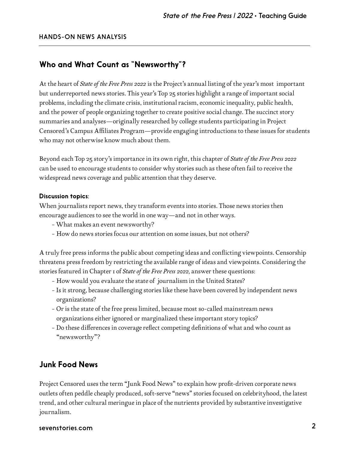### Who and What Count as "Newsworthy"?

At the heart of *State of the Free Press 2022* is the Project's annual listing of the year's most important but underreported news stories. This year's Top 25 stories highlight a range of important social problems, including the climate crisis, institutional racism, economic inequality, public health, and the power of people organizing together to create positive social change. The succinct story summaries and analyses—originally researched by college students participating in Project Censored's Campus Affiliates Program—provide engaging introductions to these issues for students who may not otherwise know much about them.

Beyond each Top 25 story's importance in its own right, this chapter of *State of the Free Press 2022* can be used to encourage students to consider why stories such as these often fail to receive the widespread news coverage and public attention that they deserve.

#### Discussion topics:

When journalists report news, they transform events into stories. Those news stories then encourage audiences to see the world in one way—and not in other ways.

- What makes an event newsworthy?
- How do news stories focus our attention on some issues, but not others?

A truly free press informs the public about competing ideas and conflicting viewpoints. Censorship threatens press freedom by restricting the available range of ideas and viewpoints. Considering the stories featured in Chapter 1 of *State of the Free Press 2022*, answer these questions:

- How would you evaluate the state of journalism in the United States?
- Is it strong, because challenging stories like these have been covered by independent news organizations?
- Or is the state of the free press limited, because most so-called mainstream news organizations either ignored or marginalized these important story topics?
- Do these differences in coverage reflect competing definitions of what and who count as "newsworthy"?

#### Junk Food News

Project Censored uses the term "Junk Food News" to explain how profit-driven corporate news outlets often peddle cheaply produced, soft-serve "news" stories focused on celebrityhood, the latest trend, and other cultural meringue in place of the nutrients provided by substantive investigative journalism.

#### sevenstories.com 2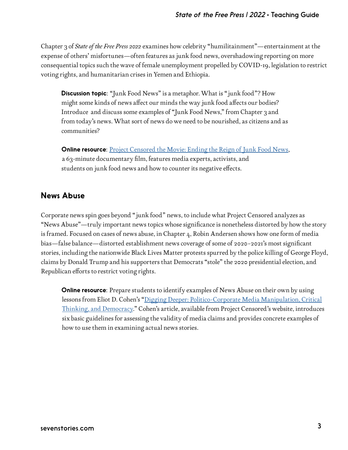Chapter 3 of *State of the Free Press 2022* examines how celebrity "humilitainment"—entertainment at the expense of others' misfortunes—often features as junk food news, overshadowing reporting on more consequential topics such the wave of female unemployment propelled by COVID-19, legislation to restrict voting rights, and humanitarian crises in Yemen and Ethiopia.

**Discussion topic**: "Junk Food News" is a metaphor. What is "junk food"? How might some kinds of news affect our minds the way junk food affects our bodies? Introduce and discuss some examples of "Junk Food News," from Chapter 3 and from today's news. What sort of news do we need to be nourished, as citizens and as communities?

**Online resource:** [Project Censored the Movie: Ending the Reign of Junk Food News](https://www.youtube.com/watch?v=8gdT52iMQvg), a 63-minute documentary film, features media experts, activists, and students on junk food news and how to counter its negative effects.

### News Abuse

Corporate news spin goes beyond "junk food" news, to include what Project Censored analyzes as "News Abuse"—truly important news topics whose significance is nonetheless distorted by how the story is framed. Focused on cases of news abuse, in Chapter 4, Robin Andersen shows how one form of media bias—false balance—distorted establishment news coverage of some of 2020–2021's most significant stories, including the nationwide Black Lives Matter protests spurred by the police killing of George Floyd, claims by Donald Trump and his supporters that Democrats "stole" the 2020 presidential election, and Republican efforts to restrict voting rights.

**Online resource**: Prepare students to identify examples of News Abuse on their own by using lessons from Eliot D. Cohen's ["Digging Deeper: Politico-Corporate Media Manipulation, Critical](https://www.projectcensored.org/digging-deeper-politico-corporate-media-manipulation-critical-thinking-democracy/) [Thinking, and Democracy.](https://www.projectcensored.org/digging-deeper-politico-corporate-media-manipulation-critical-thinking-democracy/)" Cohen's article, available from Project Censored's website, introduces six basic guidelines for assessing the validity of media claims and provides concrete examples of how to use them in examining actual news stories.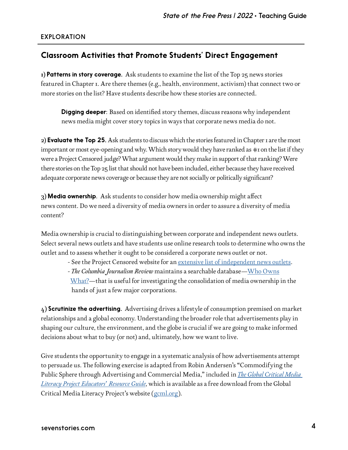#### EXPLORATION

#### Classroom Activities that Promote Students' Direct Engagement

 $1$ ) Patterns in story coverage. Ask students to examine the list of the Top 25 news stories featured in Chapter 1. Are there themes (e.g., health, environment, activism) that connect two or more stories on the list? Have students describe how these stories are connected.

**Digging deeper**: Based on identified story themes, discuss reasons why independent news media might cover story topics in ways that corporate news media do not.

2) Evaluate the Top 25. Ask students to discuss which the stories featured in Chapter I are the most important or most eye-opening and why. Which story would they have ranked as #1 on the list if they were a Project Censored judge? What argument would they make in support of that ranking? Were there stories on the Top 25 list that should not have been included, either because they have received adequate corporate news coverage or because they are not socially or politically significant?

3) Media ownership. Ask students to consider how media ownership might affect news content. Do we need a diversity of media owners in order to assure a diversity of media content?

Media ownership is crucial to distinguishing between corporate and independent news outlets. Select several news outlets and have students use online research tools to determine who owns the outlet and to assess whether it ought to be considered a corporate news outlet or not.

- See the Project Censored website for an [extensive list of independent news outlets.](https://www.projectcensored.org/independent-news-links/)
- *The Columbia Journalism Review* maintains a searchable database[—Who Owns](https://beta.cjr.org/resources)

 [What?](https://beta.cjr.org/resources)—that is useful for investigating the consolidation of media ownership in the hands of just a few major corporations.

4) Scrutinize the advertising. Advertising drives a lifestyle of consumption premised on market relationships and a global economy. Understanding the broader role that advertisements play in shaping our culture, the environment, and the globe is crucial if we are going to make informed decisions about what to buy (or not) and, ultimately, how we want to live.

Give students the opportunity to engage in a systematic analysis of how advertisements attempt to persuade us. The following exercise is adapted from Robin Andersen's "Commodifying the Public Sphere through Advertising and Commercial Media," included in *[The Global Critical Media](https://gcml.org/the-global-critical-media-literacy-educators-resource-guide/)  [Literacy Project Educators' Resource Guide](https://gcml.org/the-global-critical-media-literacy-educators-resource-guide/)*, which is available as a free download from the Global Critical Media Literacy Project's website [\(gcml.org](https://gcml.org/)).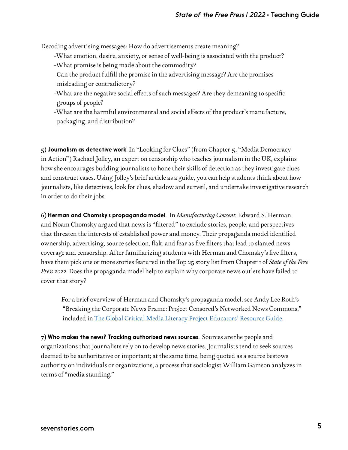Decoding advertising messages: How do advertisements create meaning?

- –What emotion, desire, anxiety, or sense of well-being is associated with the product?
- –What promise is being made about the commodity?
- –Can the product fulfill the promise in the advertising message? Are the promises misleading or contradictory?
- –What are the negative social effects of such messages? Are they demeaning to specific groups of people?
- –What are the harmful environmental and social effects of the product's manufacture, packaging, and distribution?

5) Journalism as detective work. In "Looking for Clues" (from Chapter 5, "Media Democracy in Action") Rachael Jolley, an expert on censorship who teaches journalism in the UK, explains how she encourages budding journalists to hone their skills of detection as they investigate clues and construct cases. Using Jolley's brief article as a guide, you can help students think about how journalists, like detectives, look for clues, shadow and surveil, and undertake investigative research in order to do their jobs.

6) Herman and Chomsky's propaganda model. In *Manufacturing Consent*, Edward S. Herman and Noam Chomsky argued that news is "filtered" to exclude stories, people, and perspectives that threaten the interests of established power and money. Their propaganda model identified ownership, advertising, source selection, flak, and fear as five filters that lead to slanted news coverage and censorship. After familiarizing students with Herman and Chomsky's five filters, have them pick one or more stories featured in the Top 25 story list from Chapter 1 of *State of the Free Press 2022*. Does the propaganda model help to explain why corporate news outlets have failed to cover that story?

For a brief overview of Herman and Chomsky's propaganda model, see Andy Lee Roth's "Breaking the Corporate News Frame: Project Censored's Networked News Commons," included in [The Global Critical Media Literacy Project Educators' Resource Guide](https://gcml.org/the-global-critical-media-literacy-educators-resource-guide/).

 $7$ ) Who makes the news? Tracking authorized news sources. Sources are the people and organizations that journalists rely on to develop news stories. Journalists tend to seek sources deemed to be authoritative or important; at the same time, being quoted as a source bestows authority on individuals or organizations, a process that sociologist William Gamson analyzes in terms of "media standing."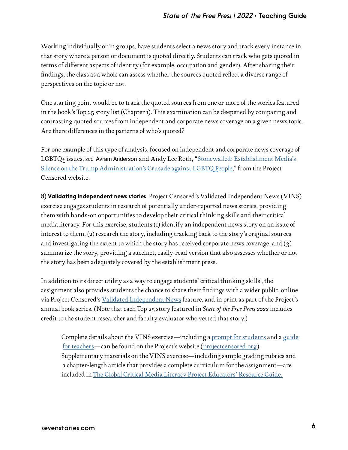Working individually or in groups, have students select a news story and track every instance in that story where a person or document is quoted directly. Students can track who gets quoted in terms of different aspects of identity (for example, occupation and gender). After sharing their findings, the class as a whole can assess whether the sources quoted reflect a diverse range of perspectives on the topic or not.

One starting point would be to track the quoted sources from one or more of the stories featured in the book's Top 25 story list (Chapter 1). This examination can be deepened by comparing and contrasting quoted sources from independent and corporate news coverage on a given news topic. Are there differences in the patterns of who's quoted?

For one example of this type of analysis, focused on independent and corporate news coverage of LGBTQ+ issues, see Avram Anderson and Andy Lee Roth, "<u>[Stonewalled: Establishment Media's](https://www.projectcensored.org/stonewalled-establishment-medias-silence-on-the-trump-administrations-crusade-against-lgbtq-people/) </u> [Silence on the Trump Administration's Crusade against LGBTQ People,](https://www.projectcensored.org/stonewalled-establishment-medias-silence-on-the-trump-administrations-crusade-against-lgbtq-people/)" from the Project Censored website.

8) Validating independent news stories. Project Censored's Validated Independent News (VINS) exercise engages students in research of potentially under-reported news stories, providing them with hands-on opportunities to develop their critical thinking skills and their critical media literacy. For this exercise, students (1) identify an independent news story on an issue of interest to them, (2) research the story, including tracking back to the story's original sources and investigating the extent to which the story has received corporate news coverage, and (3) summarize the story, providing a succinct, easily-read version that also assesses whether or not the story has been adequately covered by the establishment press.

In addition to its direct utility as a way to engage students' critical thinking skills , the assignment also provides students the chance to share their findings with a wider public, online via Project Censored's [Validated Independent News](https://www.projectcensored.org/category/validated-independent-news/) feature, and in print as part of the Project's annual book series. (Note that each Top 25 story featured in *State of the Free Press 2022* includes credit to the student researcher and faculty evaluator who vetted that story.)

Complete details about the VINS exercise—including a [prompt for students](https://www.projectcensored.org/wp-content/uploads/2021/08/VIN-Guide-2021-22.pdf) and a [guide](https://www.projectcensored.org/wp-content/uploads/2021/08/VIN-Instructors-Guide-2021-22.pdf) [for teachers](https://www.projectcensored.org/wp-content/uploads/2021/08/VIN-Instructors-Guide-2021-22.pdf)—can be found on the Project's website ([projectcensored.org\)](https://www.projectcensored.org/). Supplementary materials on the VINS exercise—including sample grading rubrics and a chapter-length article that provides a complete curriculum for the assignment—are included in [The Global Critical Media Literacy Project Educators' Resource Guide](https://gcml.org/the-global-critical-media-literacy-educators-resource-guide/).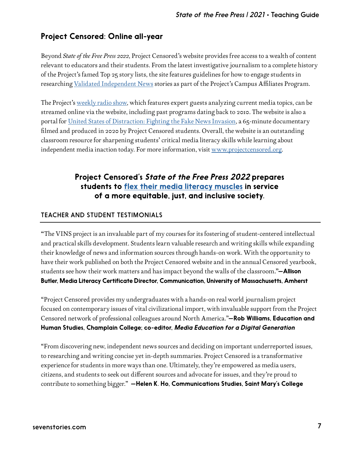## Project Censored: Online all-year

Beyond *State of the Free Press 2022*, Project Censored's website provides free access to a wealth of content relevant to educators and their students. From the latest investigative journalism to a complete history of the Project's famed Top 25 story lists, the site features guidelines for how to engage students in researching [Validated Independent News](https://www.projectcensored.org/category/validated-independent-news/) stories as part of the Project's Campus Affiliates Program.

The Project's [weekly radio show](https://www.projectcensored.org/category/the-project-censored-show/), which features expert guests analyzing current media topics, can be streamed online via the website, including past programs dating back to 2010. The website is also a portal for [United States of Distraction: Fighting the Fake News Invasion,](https://www.projectcensored.org/united-states-of-distraction-fighting-the-fake-news-invasion/) a 65-minute documentary filmed and produced in 2020 by Project Censored students. Overall, the website is an outstanding classroom resource for sharpening students' critical media literacy skills while learning about independent media inaction today. For more information, visit<www.projectcensored.org>.

## Project Censored's *State of the Free Press 2022* prepares students to [flex their media literacy muscles](https://www.projectcensored.org/five-ways-flex-media-literacy-muscles/) in service of a more equitable, just, and inclusive society.

#### TEACHER AND STUDENT TESTIMONIALS

"The VINS project is an invaluable part of my courses for its fostering of student-centered intellectual and practical skills development. Students learn valuable research and writing skills while expanding their knowledge of news and information sources through hands-on work. With the opportunity to have their work published on both the Project Censored website and in the annual Censored yearbook, students see how their work matters and has impact beyond the walls of the classroom."-Allison Butler, Media Literacy Certificate Director, Communication, University of Massachusetts, Amherst

"Project Censored provides my undergraduates with a hands-on real world journalism project focused on contemporary issues of vital civilizational import, with invaluable support from the Project Censored network of professional colleagues around North America."-Rob Williams, Education and Human Studies, Champlain College; co-editor, *Media Education for a Digital Generation*

"From discovering new, independent news sources and deciding on important underreported issues, to researching and writing concise yet in-depth summaries. Project Censored is a transformative experience for students in more ways than one. Ultimately, they're empowered as media users, citizens, and students to seek out different sources and advocate for issues, and they're proud to contribute to something bigger." - Helen K. Ho, Communications Studies, Saint Mary's College